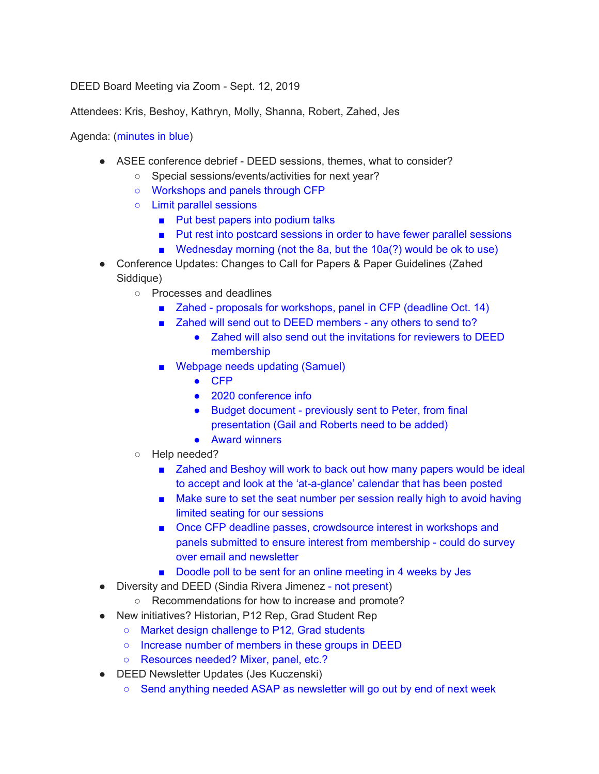DEED Board Meeting via Zoom - Sept. 12, 2019

Attendees: Kris, Beshoy, Kathryn, Molly, Shanna, Robert, Zahed, Jes

### Agenda: (minutes in blue)

- ASEE conference debrief DEED sessions, themes, what to consider?
	- Special sessions/events/activities for next year?
	- Workshops and panels through CFP
	- Limit parallel sessions
		- Put best papers into podium talks
		- Put rest into postcard sessions in order to have fewer parallel sessions
		- Wednesday morning (not the 8a, but the 10a(?) would be ok to use)
- Conference Updates: Changes to Call for Papers & Paper Guidelines (Zahed Siddique)
	- Processes and deadlines
		- Zahed proposals for workshops, panel in CFP (deadline Oct. 14)
		- Zahed will send out to DEED members any others to send to?
			- Zahed will also send out the invitations for reviewers to DEED membership
		- Webpage needs updating (Samuel)
			- CFP
			- 2020 conference info
			- Budget document previously sent to Peter, from final presentation (Gail and Roberts need to be added)
			- Award winners
	- Help needed?
		- Zahed and Beshoy will work to back out how many papers would be ideal to accept and look at the 'at-a-glance' calendar that has been posted
		- Make sure to set the seat number per session really high to avoid having limited seating for our sessions
		- Once CFP deadline passes, crowdsource interest in workshops and panels submitted to ensure interest from membership - could do survey over email and newsletter
		- Doodle poll to be sent for an online meeting in 4 weeks by Jes
- Diversity and DEED (Sindia Rivera Jimenez not present)
	- Recommendations for how to increase and promote?
- New initiatives? Historian, P12 Rep, Grad Student Rep
	- Market design challenge to P12, Grad students
	- Increase number of members in these groups in DEED
	- Resources needed? Mixer, panel, etc.?
- DEED Newsletter Updates (Jes Kuczenski)
	- Send anything needed ASAP as newsletter will go out by end of next week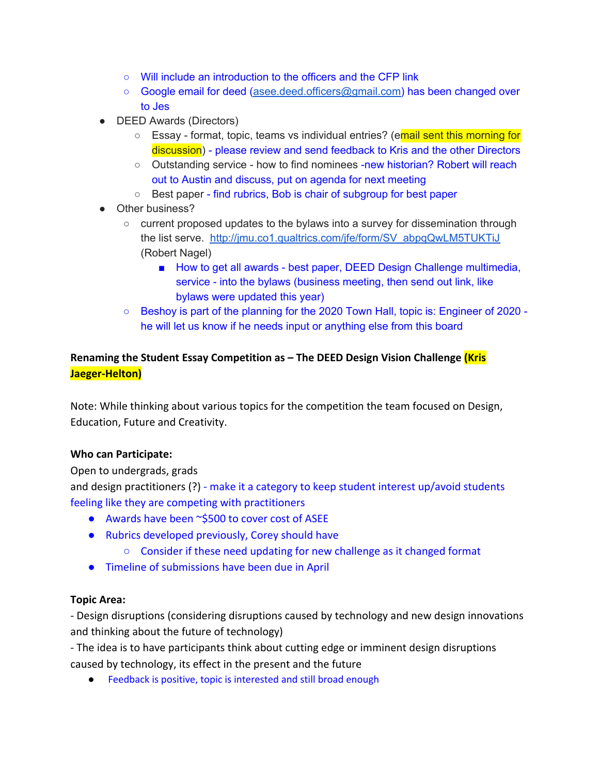- Will include an introduction to the officers and the CFP link
- Google email for deed ([asee.deed.officers@gmail.com\)](mailto:asee.deed.officers@gmail.com) has been changed over to Jes
- DEED Awards (Directors)
	- Essay format, topic, teams vs individual entries? (email sent this morning for discussion) - please review and send feedback to Kris and the other Directors
	- Outstanding service how to find nominees -new historian? Robert will reach out to Austin and discuss, put on agenda for next meeting
	- Best paper find rubrics, Bob is chair of subgroup for best paper
- Other business?
	- current proposed updates to the bylaws into a survey for dissemination through the list serve. [http://jmu.co1.qualtrics.com/jfe/form/SV\\_abpqQwLM5TUKTiJ](https://urldefense.proofpoint.com/v2/url?u=http-3A__jmu.co1.qualtrics.com_jfe_form_SV-5FabpqQwLM5TUKTiJ&d=DwMGaQ&c=iVyFbx9TtkoGWXYs40w9MA&r=wJCJqGKAYx7qgkzGUo8L2YAjgA1rvQLM2p7SH5zoo8c&m=1WV7oChzJHCk2gB8uXtP_5Z51JYpp-Tf63kUFiVn01s&s=dwz_3FALDVVaUUMz9PM4SROt6ckaJyDhPmvtgbRCT_M&e=) (Robert Nagel)
		- How to get all awards best paper, DEED Design Challenge multimedia, service - into the bylaws (business meeting, then send out link, like bylaws were updated this year)
	- Beshoy is part of the planning for the 2020 Town Hall, topic is: Engineer of 2020 he will let us know if he needs input or anything else from this board

# **Renaming the Student Essay Competition as – The DEED Design Vision Challenge (Kris Jaeger-Helton)**

Note: While thinking about various topics for the competition the team focused on Design, Education, Future and Creativity.

# **Who can Participate:**

Open to undergrads, grads

and design practitioners (?) - make it a category to keep student interest up/avoid students feeling like they are competing with practitioners

- Awards have been ~\$500 to cover cost of ASEE
- Rubrics developed previously, Corey should have
	- Consider if these need updating for new challenge as it changed format
- Timeline of submissions have been due in April

## **Topic Area:**

- Design disruptions (considering disruptions caused by technology and new design innovations and thinking about the future of technology)

- The idea is to have participants think about cutting edge or imminent design disruptions caused by technology, its effect in the present and the future

● Feedback is positive, topic is interested and still broad enough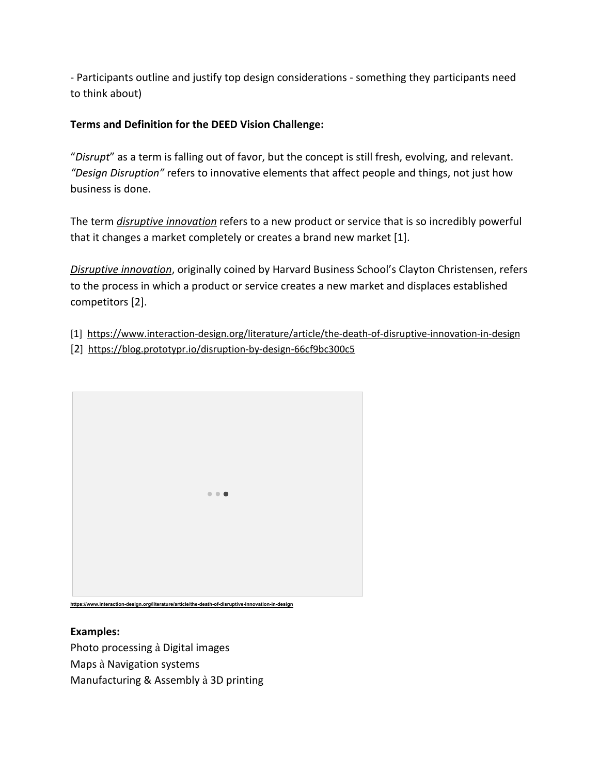- Participants outline and justify top design considerations - something they participants need to think about)

# **Terms and Definition for the DEED Vision Challenge:**

"*Disrupt*" as a term is falling out of favor, but the concept is still fresh, evolving, and relevant. *"Design Disruption"* refers to innovative elements that affect people and things, not just how business is done.

The term *[disruptive innovation](https://www.interaction-design.org/literature/topics/disruptive-innovation)* refers to a new product or service that is so incredibly powerful that it changes a market completely or creates a brand new market [1].

*[Disruptive innovation](http://www.claytonchristensen.com/key-concepts/)*, originally coined by Harvard Business School's Clayton Christensen, refers to the process in which a product or service creates a new market and displaces established competitors [2].

- [1] <https://www.interaction-design.org/literature/article/the-death-of-disruptive-innovation-in-design>
- [2] <https://blog.prototypr.io/disruption-by-design-66cf9bc300c5>



## **Examples:**

Photo processing à Digital images Maps à Navigation systems Manufacturing & Assembly à 3D printing